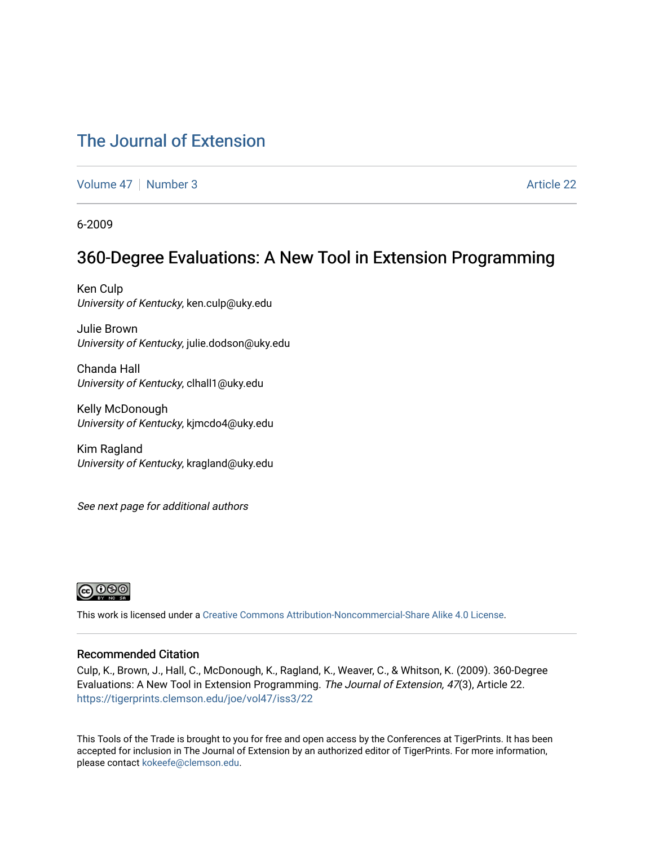### [The Journal of Extension](https://tigerprints.clemson.edu/joe)

[Volume 47](https://tigerprints.clemson.edu/joe/vol47) | [Number 3](https://tigerprints.clemson.edu/joe/vol47/iss3) Article 22

6-2009

### 360-Degree Evaluations: A New Tool in Extension Programming

Ken Culp University of Kentucky, ken.culp@uky.edu

Julie Brown University of Kentucky, julie.dodson@uky.edu

Chanda Hall University of Kentucky, clhall1@uky.edu

Kelly McDonough University of Kentucky, kjmcdo4@uky.edu

Kim Ragland University of Kentucky, kragland@uky.edu

See next page for additional authors



This work is licensed under a [Creative Commons Attribution-Noncommercial-Share Alike 4.0 License.](https://creativecommons.org/licenses/by-nc-sa/4.0/)

#### Recommended Citation

Culp, K., Brown, J., Hall, C., McDonough, K., Ragland, K., Weaver, C., & Whitson, K. (2009). 360-Degree Evaluations: A New Tool in Extension Programming. The Journal of Extension, 47(3), Article 22. <https://tigerprints.clemson.edu/joe/vol47/iss3/22>

This Tools of the Trade is brought to you for free and open access by the Conferences at TigerPrints. It has been accepted for inclusion in The Journal of Extension by an authorized editor of TigerPrints. For more information, please contact [kokeefe@clemson.edu](mailto:kokeefe@clemson.edu).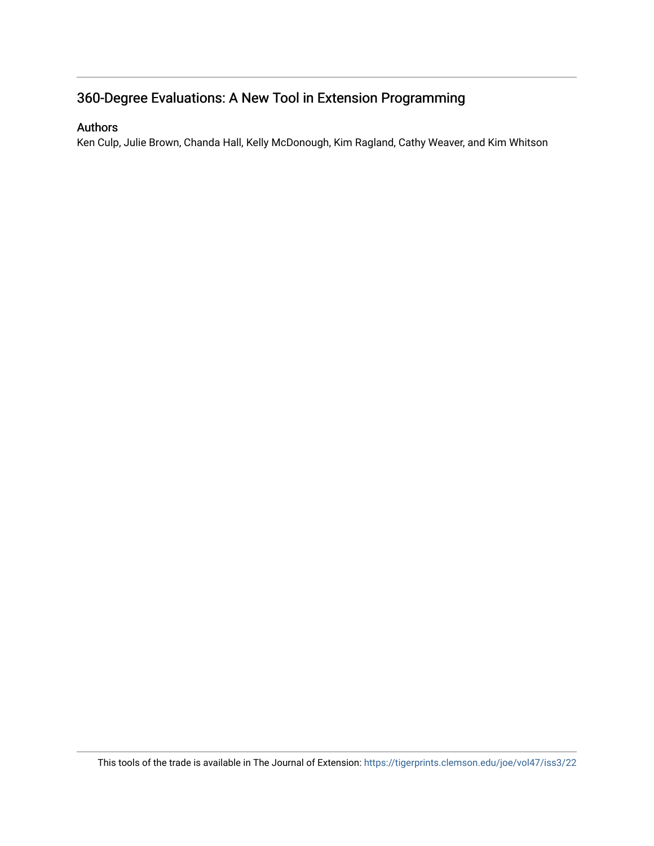### 360-Degree Evaluations: A New Tool in Extension Programming

#### Authors

Ken Culp, Julie Brown, Chanda Hall, Kelly McDonough, Kim Ragland, Cathy Weaver, and Kim Whitson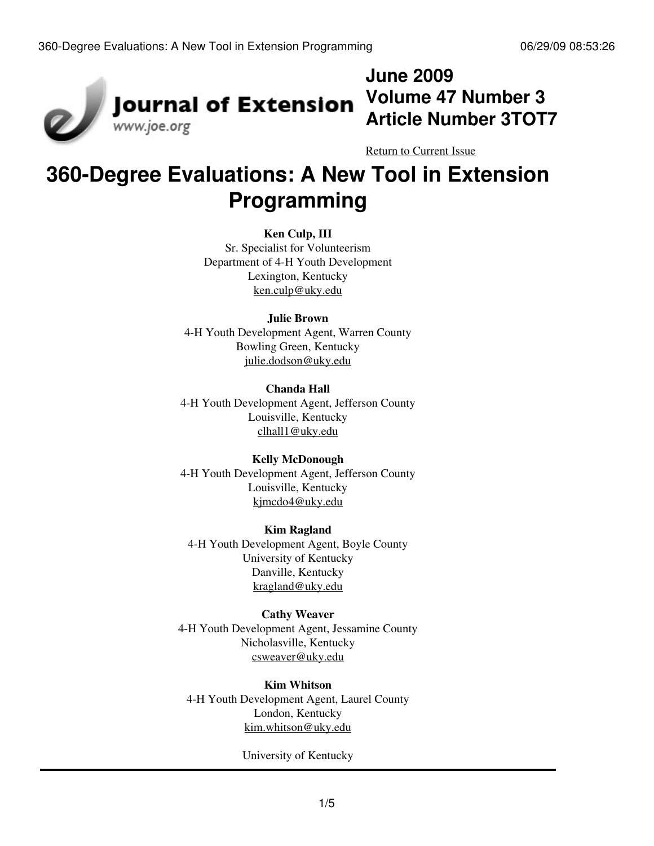

## **June 2009 Volume 47 Number 3 Article Number 3TOT7**

[Return to Current Issue](http://www.joe.org:80/joe/2009june/)

# **360-Degree Evaluations: A New Tool in Extension Programming**

#### **Ken Culp, III**

Sr. Specialist for Volunteerism Department of 4-H Youth Development Lexington, Kentucky [ken.culp@uky.edu](mailto:ken.culp@uky.edu)

#### **Julie Brown**

4-H Youth Development Agent, Warren County Bowling Green, Kentucky [julie.dodson@uky.edu](mailto:julie.dodson@uky.edu)

#### **Chanda Hall**

4-H Youth Development Agent, Jefferson County Louisville, Kentucky [clhall1@uky.edu](mailto:clhall1@uky.edu)

#### **Kelly McDonough**

4-H Youth Development Agent, Jefferson County Louisville, Kentucky [kjmcdo4@uky.edu](mailto:kjmcdo4@uky.edu)

#### **Kim Ragland**

4-H Youth Development Agent, Boyle County University of Kentucky Danville, Kentucky [kragland@uky.edu](mailto:kragland@uky.edu)

#### **Cathy Weaver**

4-H Youth Development Agent, Jessamine County Nicholasville, Kentucky [csweaver@uky.edu](mailto:csweaver@uky.edu)

#### **Kim Whitson**

4-H Youth Development Agent, Laurel County London, Kentucky [kim.whitson@uky.edu](mailto:kim.whitson@uky.edu)

University of Kentucky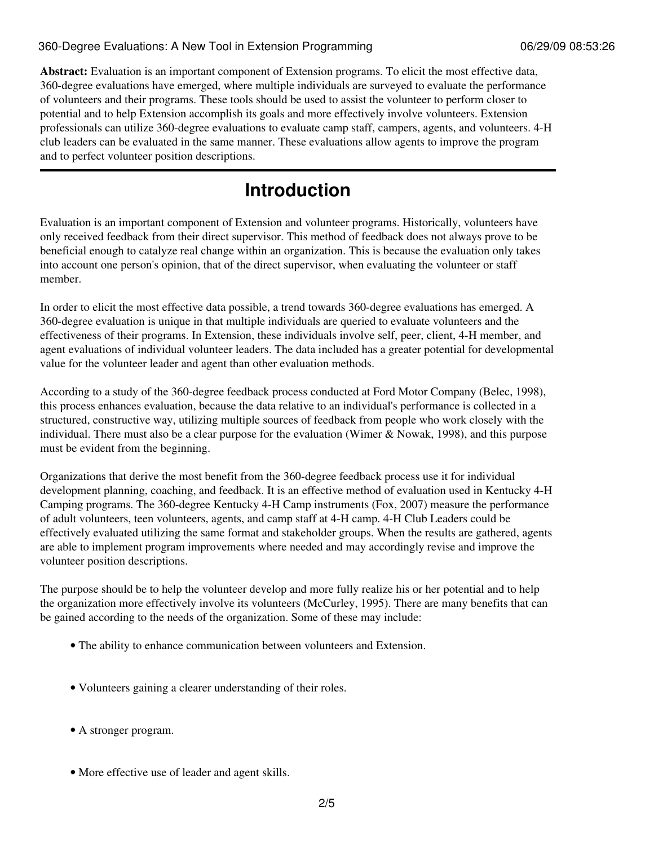#### 360-Degree Evaluations: A New Tool in Extension Programming 06/29/09 08:53:26

**Abstract:** Evaluation is an important component of Extension programs. To elicit the most effective data, 360-degree evaluations have emerged, where multiple individuals are surveyed to evaluate the performance of volunteers and their programs. These tools should be used to assist the volunteer to perform closer to potential and to help Extension accomplish its goals and more effectively involve volunteers. Extension professionals can utilize 360-degree evaluations to evaluate camp staff, campers, agents, and volunteers. 4-H club leaders can be evaluated in the same manner. These evaluations allow agents to improve the program and to perfect volunteer position descriptions.

## **Introduction**

Evaluation is an important component of Extension and volunteer programs. Historically, volunteers have only received feedback from their direct supervisor. This method of feedback does not always prove to be beneficial enough to catalyze real change within an organization. This is because the evaluation only takes into account one person's opinion, that of the direct supervisor, when evaluating the volunteer or staff member.

In order to elicit the most effective data possible, a trend towards 360-degree evaluations has emerged. A 360-degree evaluation is unique in that multiple individuals are queried to evaluate volunteers and the effectiveness of their programs. In Extension, these individuals involve self, peer, client, 4-H member, and agent evaluations of individual volunteer leaders. The data included has a greater potential for developmental value for the volunteer leader and agent than other evaluation methods.

According to a study of the 360-degree feedback process conducted at Ford Motor Company (Belec, 1998), this process enhances evaluation, because the data relative to an individual's performance is collected in a structured, constructive way, utilizing multiple sources of feedback from people who work closely with the individual. There must also be a clear purpose for the evaluation (Wimer & Nowak, 1998), and this purpose must be evident from the beginning.

Organizations that derive the most benefit from the 360-degree feedback process use it for individual development planning, coaching, and feedback. It is an effective method of evaluation used in Kentucky 4-H Camping programs. The 360-degree Kentucky 4-H Camp instruments (Fox, 2007) measure the performance of adult volunteers, teen volunteers, agents, and camp staff at 4-H camp. 4-H Club Leaders could be effectively evaluated utilizing the same format and stakeholder groups. When the results are gathered, agents are able to implement program improvements where needed and may accordingly revise and improve the volunteer position descriptions.

The purpose should be to help the volunteer develop and more fully realize his or her potential and to help the organization more effectively involve its volunteers (McCurley, 1995). There are many benefits that can be gained according to the needs of the organization. Some of these may include:

- The ability to enhance communication between volunteers and Extension.
- Volunteers gaining a clearer understanding of their roles.
- A stronger program.
- More effective use of leader and agent skills.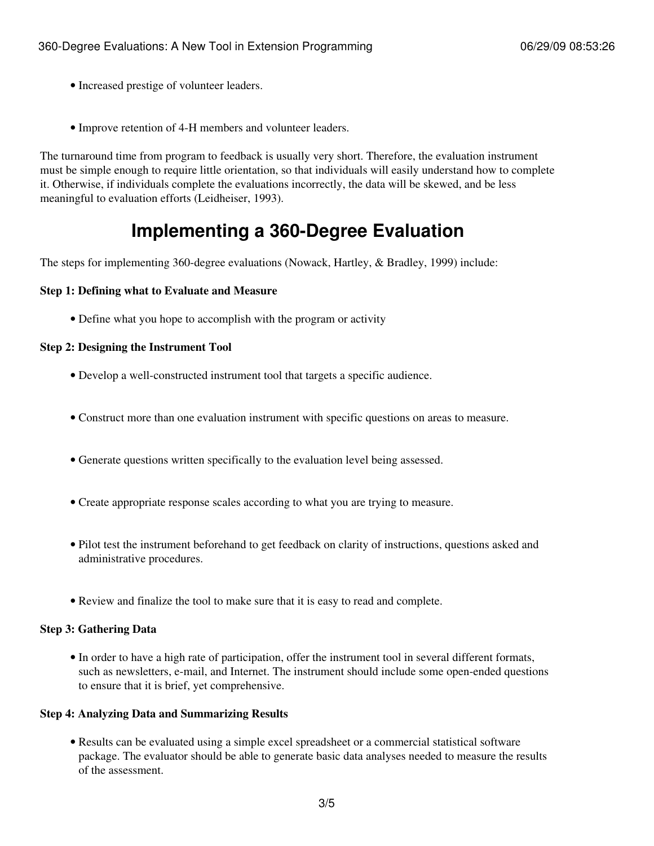- Increased prestige of volunteer leaders.
- Improve retention of 4-H members and volunteer leaders.

The turnaround time from program to feedback is usually very short. Therefore, the evaluation instrument must be simple enough to require little orientation, so that individuals will easily understand how to complete it. Otherwise, if individuals complete the evaluations incorrectly, the data will be skewed, and be less meaningful to evaluation efforts (Leidheiser, 1993).

## **Implementing a 360-Degree Evaluation**

The steps for implementing 360-degree evaluations (Nowack, Hartley, & Bradley, 1999) include:

#### **Step 1: Defining what to Evaluate and Measure**

• Define what you hope to accomplish with the program or activity

#### **Step 2: Designing the Instrument Tool**

- Develop a well-constructed instrument tool that targets a specific audience.
- Construct more than one evaluation instrument with specific questions on areas to measure.
- Generate questions written specifically to the evaluation level being assessed.
- Create appropriate response scales according to what you are trying to measure.
- Pilot test the instrument beforehand to get feedback on clarity of instructions, questions asked and administrative procedures.
- Review and finalize the tool to make sure that it is easy to read and complete.

#### **Step 3: Gathering Data**

• In order to have a high rate of participation, offer the instrument tool in several different formats, such as newsletters, e-mail, and Internet. The instrument should include some open-ended questions to ensure that it is brief, yet comprehensive.

#### **Step 4: Analyzing Data and Summarizing Results**

Results can be evaluated using a simple excel spreadsheet or a commercial statistical software • package. The evaluator should be able to generate basic data analyses needed to measure the results of the assessment.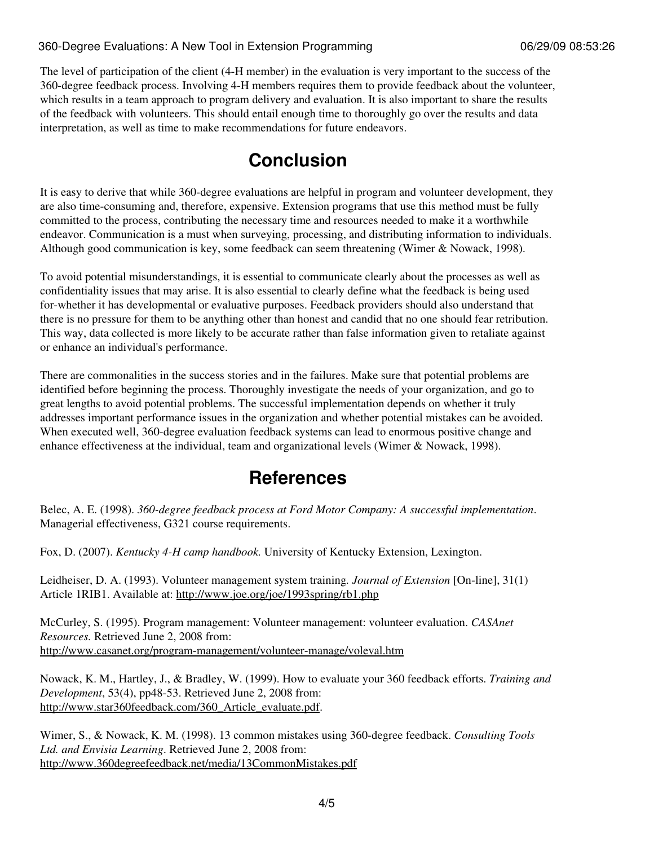#### 360-Degree Evaluations: A New Tool in Extension Programming 06/29/09 08:53:26

The level of participation of the client (4-H member) in the evaluation is very important to the success of the 360-degree feedback process. Involving 4-H members requires them to provide feedback about the volunteer, which results in a team approach to program delivery and evaluation. It is also important to share the results of the feedback with volunteers. This should entail enough time to thoroughly go over the results and data interpretation, as well as time to make recommendations for future endeavors.

## **Conclusion**

It is easy to derive that while 360-degree evaluations are helpful in program and volunteer development, they are also time-consuming and, therefore, expensive. Extension programs that use this method must be fully committed to the process, contributing the necessary time and resources needed to make it a worthwhile endeavor. Communication is a must when surveying, processing, and distributing information to individuals. Although good communication is key, some feedback can seem threatening (Wimer & Nowack, 1998).

To avoid potential misunderstandings, it is essential to communicate clearly about the processes as well as confidentiality issues that may arise. It is also essential to clearly define what the feedback is being used for-whether it has developmental or evaluative purposes. Feedback providers should also understand that there is no pressure for them to be anything other than honest and candid that no one should fear retribution. This way, data collected is more likely to be accurate rather than false information given to retaliate against or enhance an individual's performance.

There are commonalities in the success stories and in the failures. Make sure that potential problems are identified before beginning the process. Thoroughly investigate the needs of your organization, and go to great lengths to avoid potential problems. The successful implementation depends on whether it truly addresses important performance issues in the organization and whether potential mistakes can be avoided. When executed well, 360-degree evaluation feedback systems can lead to enormous positive change and enhance effectiveness at the individual, team and organizational levels (Wimer & Nowack, 1998).

### **References**

Belec, A. E. (1998). *360-degree feedback process at Ford Motor Company: A successful implementation*. Managerial effectiveness, G321 course requirements.

Fox, D. (2007). *Kentucky 4-H camp handbook.* University of Kentucky Extension, Lexington.

Leidheiser, D. A. (1993). Volunteer management system training*. Journal of Extension* [On-line], 31(1) Article 1RIB1. Available at: <http://www.joe.org/joe/1993spring/rb1.php>

McCurley, S. (1995). Program management: Volunteer management: volunteer evaluation. *CASAnet Resources.* Retrieved June 2, 2008 from: <http://www.casanet.org/program-management/volunteer-manage/voleval.htm>

Nowack, K. M., Hartley, J., & Bradley, W. (1999). How to evaluate your 360 feedback efforts. *Training and Development*, 53(4), pp48-53. Retrieved June 2, 2008 from: [http://www.star360feedback.com/360\\_Article\\_evaluate.pdf](http://www.star360feedback.com/360_Article_evaluate.pdf).

Wimer, S., & Nowack, K. M. (1998). 13 common mistakes using 360-degree feedback. *Consulting Tools Ltd. and Envisia Learning*. Retrieved June 2, 2008 from: <http://www.360degreefeedback.net/media/13CommonMistakes.pdf>